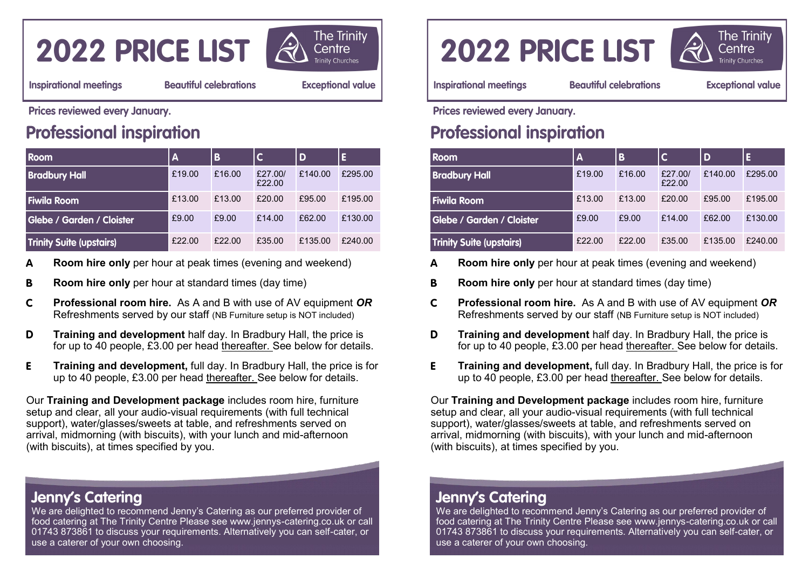# 2022 PRICE LIST



**Inspirational meetings** 

**Beautiful celebrations** 

**Exceptional value** 

Prices reviewed every January.

## **Professional inspiration**

| <b>Room</b>               | $\mathbf{A}$ | B      |                   | D       | E       |
|---------------------------|--------------|--------|-------------------|---------|---------|
| <b>Bradbury Hall</b>      | £19.00       | £16.00 | £27,00/<br>£22.00 | £140.00 | £295.00 |
| <b>Fiwila Room</b>        | £13.00       | £13.00 | £20.00            | £95.00  | £195.00 |
| Glebe / Garden / Cloister | £9.00        | f9.00  | £14.00            | £62.00  | £130.00 |
| Trinity Suite (upstairs)  | £22.00       | £22.00 | £35.00            | £135.00 | £240.00 |

- **Room hire only** per hour at peak times (evening and weekend)  $\Delta$
- **Room hire only** per hour at standard times (day time) B
- $\mathsf{C}$ **Professional room hire.** As A and B with use of AV equipment *OR* Refreshments served by our staff (NB Furniture setup is NOT included)
- D **Training and development** half day. In Bradbury Hall, the price is for up to 40 people, £3.00 per head thereafter. See below for details.
- E **Training and development,** full day. In Bradbury Hall, the price is for up to 40 people, £3.00 per head thereafter. See below for details.

Our **Training and Development package** includes room hire, furniture setup and clear, all your audio-visual requirements (with full technical support), water/glasses/sweets at table, and refreshments served on arrival, midmorning (with biscuits), with your lunch and mid-afternoon (with biscuits), at times specified by you.

#### **Jenny's Catering**

We are delighted to recommend Jenny's Catering as our preferred provider of food catering at The Trinity Centre Please see www.jennys-catering.co.uk or call 01743 873861 to discuss your requirements. Alternatively you can self-cater, or use a caterer of your own choosing.

# 2022 PRICE LIST



**Inspirational meetings** 

**Beautiful celebrations** 

**Exceptional value** 

Prices reviewed every January.

## **Professional inspiration**

| <b>Room</b>               | $\mathbf{A}$ | B      |                   | D       | E       |
|---------------------------|--------------|--------|-------------------|---------|---------|
| <b>Bradbury Hall</b>      | £19.00       | £16.00 | £27.00/<br>£22.00 | f140.00 | £295.00 |
| <b>Fiwila Room</b>        | £13.00       | £13.00 | f20.00            | £95.00  | £195.00 |
| Glebe / Garden / Cloister | £9.00        | £9.00  | f14.00            | £62.00  | £130.00 |
| Trinity Suite (upstairs)  | £22.00       | f22.00 | £35.00            | £135.00 | £240.00 |

- **Room hire only** per hour at peak times (evening and weekend)  $\blacktriangle$
- **Room hire only** per hour at standard times (day time) B.
- $\mathbf{C}$ **Professional room hire.** As A and B with use of AV equipment *OR* Refreshments served by our staff (NB Furniture setup is NOT included)
- D **Training and development** half day. In Bradbury Hall, the price is for up to 40 people, £3.00 per head thereafter. See below for details.
- **Training and development,** full day. In Bradbury Hall, the price is for E. up to 40 people, £3.00 per head thereafter. See below for details.

Our **Training and Development package** includes room hire, furniture setup and clear, all your audio-visual requirements (with full technical support), water/glasses/sweets at table, and refreshments served on arrival, midmorning (with biscuits), with your lunch and mid-afternoon (with biscuits), at times specified by you.

#### **Jenny's Catering**

We are delighted to recommend Jenny's Catering as our preferred provider of food catering at The Trinity Centre Please see www.jennys-catering.co.uk or call 01743 873861 to discuss your requirements. Alternatively you can self-cater, or use a caterer of your own choosing.